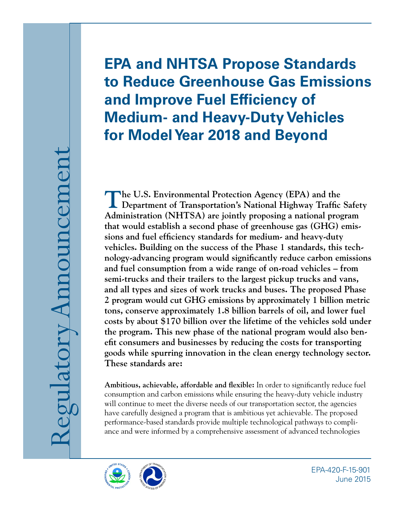# **EPA and NHTSA Propose Standards to Reduce Greenhouse Gas Emissions and Improve Fuel Efficiency of Medium- and Heavy-Duty Vehicles for Model Year 2018 and Beyond**

**The U.S. Environmental Protection Agency (EPA) and the Department of Transportation's National Highway Traffic Safety Administration (NHTSA) are jointly proposing a national program that would establish a second phase of greenhouse gas (GHG) emissions and fuel efficiency standards for medium- and heavy-duty vehicles. Building on the success of the Phase 1 standards, this technology-advancing program would significantly reduce carbon emissions and fuel consumption from a wide range of on-road vehicles – from semi-trucks and their trailers to the largest pickup trucks and vans, and all types and sizes of work trucks and buses. The proposed Phase 2 program would cut GHG emissions by approximately 1 billion metric tons, conserve approximately 1.8 billion barrels of oil, and lower fuel costs by about \$170 billion over the lifetime of the vehicles sold under the program. This new phase of the national program would also benefit consumers and businesses by reducing the costs for transporting goods while spurring innovation in the clean energy technology sector. These standards are:** 

**Ambitious, achievable, affordable and flexible:** In order to significantly reduce fuel consumption and carbon emissions while ensuring the heavy-duty vehicle industry will continue to meet the diverse needs of our transportation sector, the agencies have carefully designed a program that is ambitious yet achievable. The proposed performance-based standards provide multiple technological pathways to compliance and were informed by a comprehensive assessment of advanced technologies



EPA-420-F-15-901 June 2015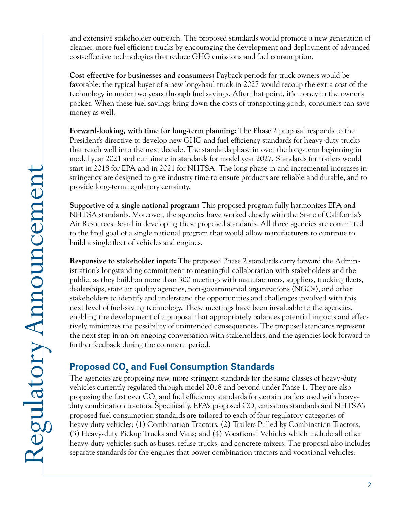and extensive stakeholder outreach. The proposed standards would promote a new generation of cleaner, more fuel efficient trucks by encouraging the development and deployment of advanced cost-effective technologies that reduce GHG emissions and fuel consumption.

**Cost effective for businesses and consumers:** Payback periods for truck owners would be favorable: the typical buyer of a new long-haul truck in 2027 would recoup the extra cost of the technology in under two years through fuel savings. After that point, it's money in the owner's pocket. When these fuel savings bring down the costs of transporting goods, consumers can save money as well.

**Forward-looking, with time for long-term planning:** The Phase 2 proposal responds to the President's directive to develop new GHG and fuel efficiency standards for heavy-duty trucks that reach well into the next decade. The standards phase in over the long-term beginning in model year 2021 and culminate in standards for model year 2027. Standards for trailers would start in 2018 for EPA and in 2021 for NHTSA. The long phase in and incremental increases in stringency are designed to give industry time to ensure products are reliable and durable, and to provide long-term regulatory certainty.

**Supportive of a single national program:** This proposed program fully harmonizes EPA and NHTSA standards. Moreover, the agencies have worked closely with the State of California's Air Resources Board in developing these proposed standards. All three agencies are committed to the final goal of a single national program that would allow manufacturers to continue to build a single fleet of vehicles and engines.

**Responsive to stakeholder input:** The proposed Phase 2 standards carry forward the Administration's longstanding commitment to meaningful collaboration with stakeholders and the public, as they build on more than 300 meetings with manufacturers, suppliers, trucking fleets, dealerships, state air quality agencies, non-governmental organizations (NGOs), and other stakeholders to identify and understand the opportunities and challenges involved with this next level of fuel-saving technology. These meetings have been invaluable to the agencies, enabling the development of a proposal that appropriately balances potential impacts and effectively minimizes the possibility of unintended consequences. The proposed standards represent the next step in an on ongoing conversation with stakeholders, and the agencies look forward to further feedback during the comment period.

## Proposed CO<sub>2</sub> and Fuel Consumption Standards

The agencies are proposing new, more stringent standards for the same classes of heavy-duty vehicles currently regulated through model 2018 and beyond under Phase 1. They are also proposing the first ever  $\mathrm{CO}_2$  and fuel efficiency standards for certain trailers used with heavyduty combination tractors. Specifically, EPA's proposed  $\mathrm{CO}_2$  emissions standards and NHTSA's proposed fuel consumption standards are tailored to each of four regulatory categories of heavy-duty vehicles: (1) Combination Tractors; (2) Trailers Pulled by Combination Tractors; (3) Heavy-duty Pickup Trucks and Vans; and (4) Vocational Vehicles which include all other heavy-duty vehicles such as buses, refuse trucks, and concrete mixers. The proposal also includes separate standards for the engines that power combination tractors and vocational vehicles.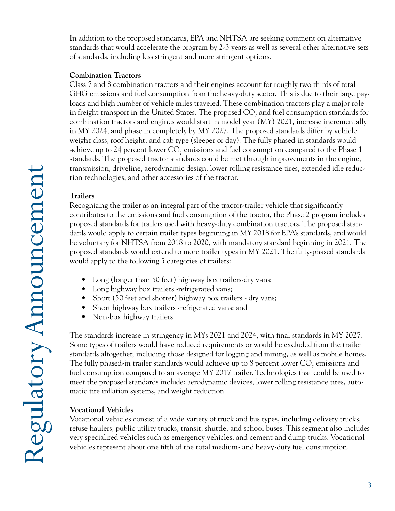In addition to the proposed standards, EPA and NHTSA are seeking comment on alternative standards that would accelerate the program by 2-3 years as well as several other alternative sets of standards, including less stringent and more stringent options.

#### **Combination Tractors**

Class 7 and 8 combination tractors and their engines account for roughly two thirds of total GHG emissions and fuel consumption from the heavy-duty sector. This is due to their large payloads and high number of vehicle miles traveled. These combination tractors play a major role in freight transport in the United States. The proposed  $\mathrm{CO}_\mathrm{2}$  and fuel consumption standards for combination tractors and engines would start in model year (MY) 2021, increase incrementally in MY 2024, and phase in completely by MY 2027. The proposed standards differ by vehicle weight class, roof height, and cab type (sleeper or day). The fully phased-in standards would achieve up to 24 percent lower CO<sub>2</sub> emissions and fuel consumption compared to the Phase 1 standards. The proposed tractor standards could be met through improvements in the engine, transmission, driveline, aerodynamic design, lower rolling resistance tires, extended idle reduction technologies, and other accessories of the tractor.

#### **Trailers**

Recognizing the trailer as an integral part of the tractor-trailer vehicle that significantly contributes to the emissions and fuel consumption of the tractor, the Phase 2 program includes proposed standards for trailers used with heavy-duty combination tractors. The proposed standards would apply to certain trailer types beginning in MY 2018 for EPA's standards, and would be voluntary for NHTSA from 2018 to 2020, with mandatory standard beginning in 2021. The proposed standards would extend to more trailer types in MY 2021. The fully-phased standards would apply to the following 5 categories of trailers:

- Long (longer than 50 feet) highway box trailers-dry vans;
- Long highway box trailers -refrigerated vans;
- Short (50 feet and shorter) highway box trailers dry vans;
- Short highway box trailers -refrigerated vans; and
- Non-box highway trailers

The standards increase in stringency in MYs 2021 and 2024, with final standards in MY 2027. Some types of trailers would have reduced requirements or would be excluded from the trailer standards altogether, including those designed for logging and mining, as well as mobile homes. The fully phased-in trailer standards would achieve up to 8 percent lower  $\mathrm{CO}_2$  emissions and fuel consumption compared to an average MY 2017 trailer. Technologies that could be used to meet the proposed standards include: aerodynamic devices, lower rolling resistance tires, automatic tire inflation systems, and weight reduction.

#### **Vocational Vehicles**

Vocational vehicles consist of a wide variety of truck and bus types, including delivery trucks, refuse haulers, public utility trucks, transit, shuttle, and school buses. This segment also includes very specialized vehicles such as emergency vehicles, and cement and dump trucks. Vocational vehicles represent about one fifth of the total medium- and heavy-duty fuel consumption.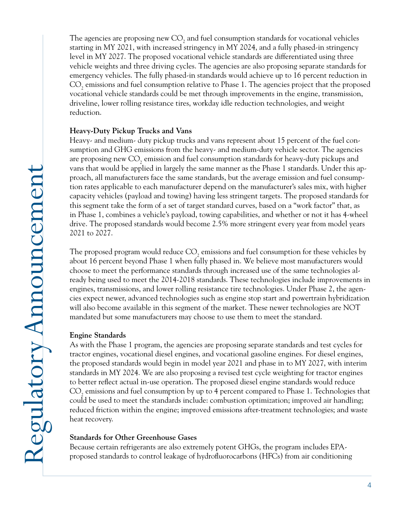The agencies are proposing new  $\mathrm{CO}_2$  and fuel consumption standards for vocational vehicles starting in MY 2021, with increased stringency in MY 2024, and a fully phased-in stringency level in MY 2027. The proposed vocational vehicle standards are differentiated using three vehicle weights and three driving cycles. The agencies are also proposing separate standards for emergency vehicles. The fully phased-in standards would achieve up to 16 percent reduction in  $\mathrm{CO}_2$  emissions and fuel consumption relative to Phase 1. The agencies project that the proposed vocational vehicle standards could be met through improvements in the engine, transmission, driveline, lower rolling resistance tires, workday idle reduction technologies, and weight reduction. **Heavy-Duty Pickup Trucks and Vans** 

Heavy- and medium- duty pickup trucks and vans represent about 15 percent of the fuel consumption and GHG emissions from the heavy- and medium-duty vehicle sector. The agencies are proposing new  $\mathrm{CO}_2$  emission and fuel consumption standards for heavy-duty pickups and vans that would be applied in largely the same manner as the Phase 1 standards. Under this approach, all manufacturers face the same standards, but the average emission and fuel consumption rates applicable to each manufacturer depend on the manufacturer's sales mix, with higher capacity vehicles (payload and towing) having less stringent targets. The proposed standards for this segment take the form of a set of target standard curves, based on a "work factor" that, as in Phase 1, combines a vehicle's payload, towing capabilities, and whether or not it has 4-wheel drive. The proposed standards would become 2.5% more stringent every year from model years 2021 to 2027.

The proposed program would reduce  $\mathrm{CO}_2$  emissions and fuel consumption for these vehicles by about 16 percent beyond Phase 1 when fully phased in. We believe most manufacturers would choose to meet the performance standards through increased use of the same technologies already being used to meet the 2014-2018 standards. These technologies include improvements in engines, transmissions, and lower rolling resistance tire technologies. Under Phase 2, the agencies expect newer, advanced technologies such as engine stop start and powertrain hybridization will also become available in this segment of the market. These newer technologies are NOT mandated but some manufacturers may choose to use them to meet the standard.

#### **Engine Standards**

As with the Phase 1 program, the agencies are proposing separate standards and test cycles for tractor engines, vocational diesel engines, and vocational gasoline engines. For diesel engines, the proposed standards would begin in model year 2021 and phase in to MY 2027, with interim standards in MY 2024. We are also proposing a revised test cycle weighting for tractor engines to better reflect actual in-use operation. The proposed diesel engine standards would reduce  $\mathrm{CO}_2$  emissions and fuel consumption by up to 4 percent compared to Phase 1. Technologies that could be used to meet the standards include: combustion optimization; improved air handling; reduced friction within the engine; improved emissions after-treatment technologies; and waste heat recovery.

#### **Standards for Other Greenhouse Gases**

Because certain refrigerants are also extremely potent GHGs, the program includes EPAproposed standards to control leakage of hydrofluorocarbons (HFCs) from air conditioning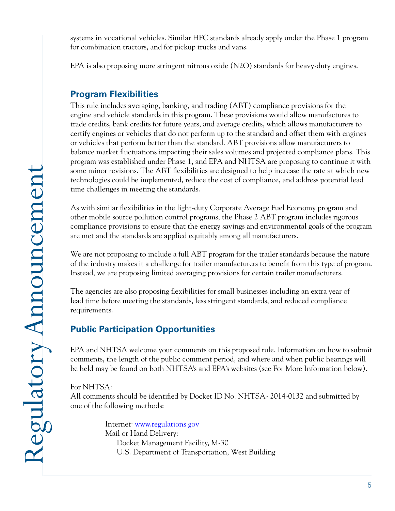systems in vocational vehicles. Similar HFC standards already apply under the Phase 1 program for combination tractors, and for pickup trucks and vans.

EPA is also proposing more stringent nitrous oxide (N2O) standards for heavy-duty engines.

## **Program Flexibilities**

This rule includes averaging, banking, and trading (ABT) compliance provisions for the engine and vehicle standards in this program. These provisions would allow manufactures to trade credits, bank credits for future years, and average credits, which allows manufacturers to certify engines or vehicles that do not perform up to the standard and offset them with engines or vehicles that perform better than the standard. ABT provisions allow manufacturers to balance market fluctuations impacting their sales volumes and projected compliance plans. This program was established under Phase 1, and EPA and NHTSA are proposing to continue it with some minor revisions. The ABT flexibilities are designed to help increase the rate at which new technologies could be implemented, reduce the cost of compliance, and address potential lead time challenges in meeting the standards.

As with similar flexibilities in the light-duty Corporate Average Fuel Economy program and other mobile source pollution control programs, the Phase 2 ABT program includes rigorous compliance provisions to ensure that the energy savings and environmental goals of the program are met and the standards are applied equitably among all manufacturers.

We are not proposing to include a full ABT program for the trailer standards because the nature of the industry makes it a challenge for trailer manufacturers to benefit from this type of program. Instead, we are proposing limited averaging provisions for certain trailer manufacturers.

The agencies are also proposing flexibilities for small businesses including an extra year of lead time before meeting the standards, less stringent standards, and reduced compliance requirements.

## **Public Participation Opportunities**

EPA and NHTSA welcome your comments on this proposed rule. Information on how to submit comments, the length of the public comment period, and where and when public hearings will be held may be found on both NHTSA's and EPA's websites (see For More Information below).

#### For NHTSA:

All comments should be identified by Docket ID No. NHTSA- 2014-0132 and submitted by one of the following methods:

> Internet: www.regulations.gov Mail or Hand Delivery: Docket Management Facility, M-30 U.S. Department of Transportation, West Building